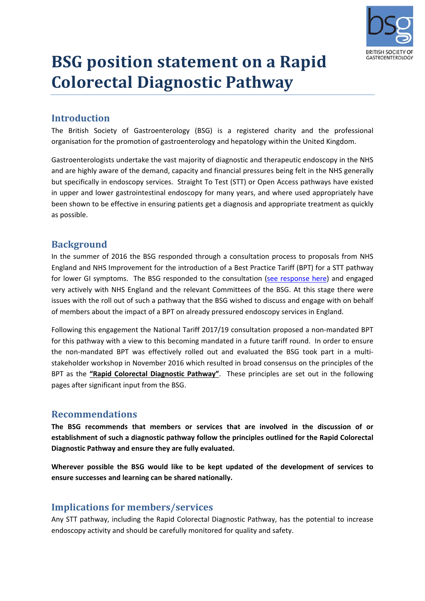

## **BSG position statement on a Rapid Colorectal Diagnostic Pathway**

## **Introduction**

The British Society of Gastroenterology (BSG) is a registered charity and the professional organisation for the promotion of gastroenterology and hepatology within the United Kingdom.

Gastroenterologists undertake the vast majority of diagnostic and therapeutic endoscopy in the NHS and are highly aware of the demand, capacity and financial pressures being felt in the NHS generally but specifically in endoscopy services. Straight To Test (STT) or Open Access pathways have existed in upper and lower gastrointestinal endoscopy for many years, and where used appropriately have been shown to be effective in ensuring patients get a diagnosis and appropriate treatment as quickly as possible.

## **Background**

In the summer of 2016 the BSG responded through a consultation process to proposals from NHS England and NHS Improvement for the introduction of a Best Practice Tariff (BPT) for a STT pathway for lower GI symptoms. The BSG responded to the consultation (see response here) and engaged very actively with NHS England and the relevant Committees of the BSG. At this stage there were issues with the roll out of such a pathway that the BSG wished to discuss and engage with on behalf of members about the impact of a BPT on already pressured endoscopy services in England.

Following this engagement the National Tariff 2017/19 consultation proposed a non-mandated BPT for this pathway with a view to this becoming mandated in a future tariff round. In order to ensure the non-mandated BPT was effectively rolled out and evaluated the BSG took part in a multistakeholder workshop in November 2016 which resulted in broad consensus on the principles of the BPT as the **"Rapid Colorectal Diagnostic Pathway"**. These principles are set out in the following pages after significant input from the BSG.

## **Recommendations**

**The BSG recommends that members or services that are involved in the discussion of or establishment of such a diagnostic pathway follow the principles outlined for the Rapid Colorectal Diagnostic Pathway and ensure they are fully evaluated.**

**Wherever possible the BSG would like to be kept updated of the development of services to ensure successes and learning can be shared nationally.**

## **Implications for members/services**

Any STT pathway, including the Rapid Colorectal Diagnostic Pathway, has the potential to increase endoscopy activity and should be carefully monitored for quality and safety.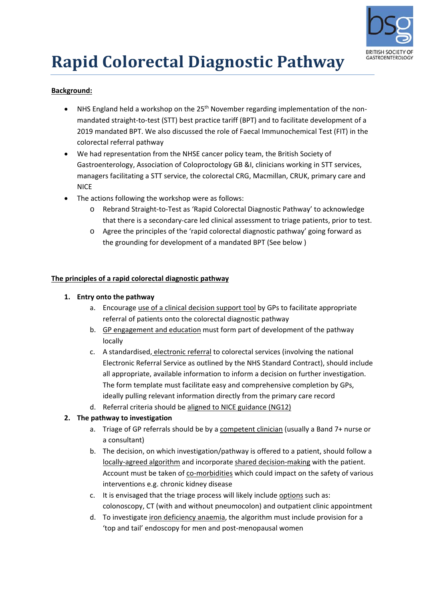

# **Rapid Colorectal Diagnostic Pathway**

#### **Background:**

- NHS England held a workshop on the 25<sup>th</sup> November regarding implementation of the nonmandated straight-to-test (STT) best practice tariff (BPT) and to facilitate development of a 2019 mandated BPT. We also discussed the role of Faecal Immunochemical Test (FIT) in the colorectal referral pathway
- We had representation from the NHSE cancer policy team, the British Society of Gastroenterology, Association of Coloproctology GB &I, clinicians working in STT services, managers facilitating a STT service, the colorectal CRG, Macmillan, CRUK, primary care and **NICE**
- The actions following the workshop were as follows:
	- o Rebrand Straight‐to‐Test as 'Rapid Colorectal Diagnostic Pathway' to acknowledge that there is a secondary‐care led clinical assessment to triage patients, prior to test.
	- o Agree the principles of the 'rapid colorectal diagnostic pathway' going forward as the grounding for development of a mandated BPT (See below )

#### **The principles of a rapid colorectal diagnostic pathway**

#### **1. Entry onto the pathway**

- a. Encourage use of a clinical decision support tool by GPs to facilitate appropriate referral of patients onto the colorectal diagnostic pathway
- b. GP engagement and education must form part of development of the pathway locally
- c. A standardised, electronic referral to colorectal services (involving the national Electronic Referral Service as outlined by the NHS Standard Contract), should include all appropriate, available information to inform a decision on further investigation. The form template must facilitate easy and comprehensive completion by GPs, ideally pulling relevant information directly from the primary care record
- d. Referral criteria should be aligned to NICE guidance (NG12)

#### **2. The pathway to investigation**

- a. Triage of GP referrals should be by a competent clinician (usually a Band 7+ nurse or a consultant)
- b. The decision, on which investigation/pathway is offered to a patient, should follow a locally‐agreed algorithm and incorporate shared decision‐making with the patient. Account must be taken of co‐morbidities which could impact on the safety of various interventions e.g. chronic kidney disease
- c. It is envisaged that the triage process will likely include options such as: colonoscopy, CT (with and without pneumocolon) and outpatient clinic appointment
- d. To investigate iron deficiency anaemia, the algorithm must include provision for a 'top and tail' endoscopy for men and post‐menopausal women